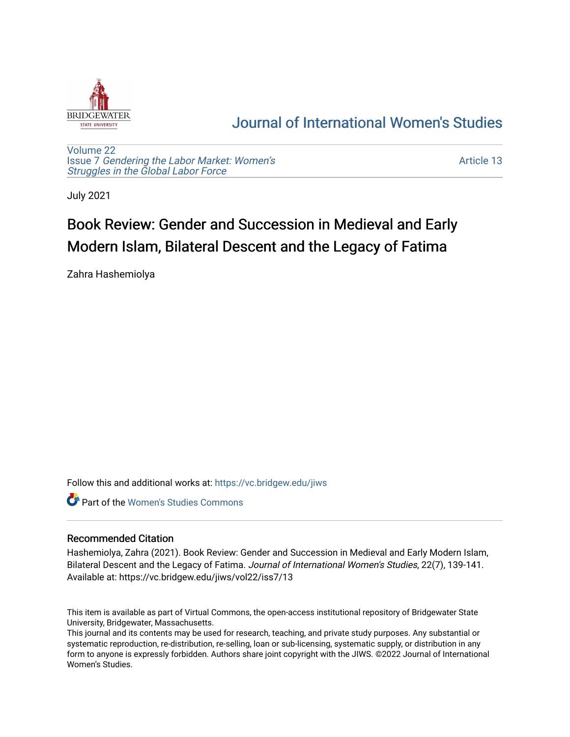

## [Journal of International Women's Studies](https://vc.bridgew.edu/jiws)

[Volume 22](https://vc.bridgew.edu/jiws/vol22) Issue 7 [Gendering the Labor Market: Women's](https://vc.bridgew.edu/jiws/vol22/iss7) [Struggles in the Global Labor Force](https://vc.bridgew.edu/jiws/vol22/iss7)

[Article 13](https://vc.bridgew.edu/jiws/vol22/iss7/13) 

July 2021

# Book Review: Gender and Succession in Medieval and Early Modern Islam, Bilateral Descent and the Legacy of Fatima

Zahra Hashemiolya

Follow this and additional works at: [https://vc.bridgew.edu/jiws](https://vc.bridgew.edu/jiws?utm_source=vc.bridgew.edu%2Fjiws%2Fvol22%2Fiss7%2F13&utm_medium=PDF&utm_campaign=PDFCoverPages)

Part of the [Women's Studies Commons](http://network.bepress.com/hgg/discipline/561?utm_source=vc.bridgew.edu%2Fjiws%2Fvol22%2Fiss7%2F13&utm_medium=PDF&utm_campaign=PDFCoverPages) 

#### Recommended Citation

Hashemiolya, Zahra (2021). Book Review: Gender and Succession in Medieval and Early Modern Islam, Bilateral Descent and the Legacy of Fatima. Journal of International Women's Studies, 22(7), 139-141. Available at: https://vc.bridgew.edu/jiws/vol22/iss7/13

This item is available as part of Virtual Commons, the open-access institutional repository of Bridgewater State University, Bridgewater, Massachusetts.

This journal and its contents may be used for research, teaching, and private study purposes. Any substantial or systematic reproduction, re-distribution, re-selling, loan or sub-licensing, systematic supply, or distribution in any form to anyone is expressly forbidden. Authors share joint copyright with the JIWS. ©2022 Journal of International Women's Studies.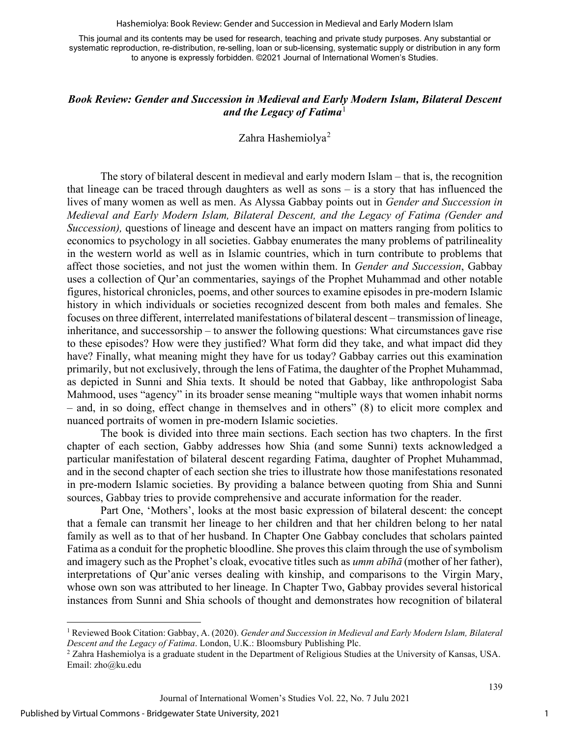Hashemiolya: Book Review: Gender and Succession in Medieval and Early Modern Islam

This journal and its contents may be used for research, teaching and private study purposes. Any substantial or systematic reproduction, re-distribution, re-selling, loan or sub-licensing, systematic supply or distribution in any form to anyone is expressly forbidden. ©2021 Journal of International Women's Studies.

### *Book Review: Gender and Succession in Medieval and Early Modern Islam, Bilateral Descent*  and the Legacy of Fatima<sup>[1](#page-1-0)</sup>

#### Zahra Hashemiolya<sup>[2](#page-1-1)</sup>

The story of bilateral descent in medieval and early modern Islam – that is, the recognition that lineage can be traced through daughters as well as sons – is a story that has influenced the lives of many women as well as men. As Alyssa Gabbay points out in *Gender and Succession in Medieval and Early Modern Islam, Bilateral Descent, and the Legacy of Fatima (Gender and Succession*), questions of lineage and descent have an impact on matters ranging from politics to economics to psychology in all societies. Gabbay enumerates the many problems of patrilineality in the western world as well as in Islamic countries, which in turn contribute to problems that affect those societies, and not just the women within them. In *Gender and Succession*, Gabbay uses a collection of Qur'an commentaries, sayings of the Prophet Muhammad and other notable figures, historical chronicles, poems, and other sources to examine episodes in pre-modern Islamic history in which individuals or societies recognized descent from both males and females. She focuses on three different, interrelated manifestations of bilateral descent – transmission of lineage, inheritance, and successorship – to answer the following questions: What circumstances gave rise to these episodes? How were they justified? What form did they take, and what impact did they have? Finally, what meaning might they have for us today? Gabbay carries out this examination primarily, but not exclusively, through the lens of Fatima, the daughter of the Prophet Muhammad, as depicted in Sunni and Shia texts. It should be noted that Gabbay, like anthropologist Saba Mahmood, uses "agency" in its broader sense meaning "multiple ways that women inhabit norms – and, in so doing, effect change in themselves and in others" (8) to elicit more complex and nuanced portraits of women in pre-modern Islamic societies.

The book is divided into three main sections. Each section has two chapters. In the first chapter of each section, Gabby addresses how Shia (and some Sunni) texts acknowledged a particular manifestation of bilateral descent regarding Fatima, daughter of Prophet Muhammad, and in the second chapter of each section she tries to illustrate how those manifestations resonated in pre-modern Islamic societies. By providing a balance between quoting from Shia and Sunni sources, Gabbay tries to provide comprehensive and accurate information for the reader.

Part One, 'Mothers', looks at the most basic expression of bilateral descent: the concept that a female can transmit her lineage to her children and that her children belong to her natal family as well as to that of her husband. In Chapter One Gabbay concludes that scholars painted Fatima as a conduit for the prophetic bloodline. She proves this claim through the use of symbolism and imagery such as the Prophet's cloak, evocative titles such as *umm abīhā* (mother of her father), interpretations of Qur'anic verses dealing with kinship, and comparisons to the Virgin Mary, whose own son was attributed to her lineage. In Chapter Two, Gabbay provides several historical instances from Sunni and Shia schools of thought and demonstrates how recognition of bilateral

139

<span id="page-1-0"></span><sup>1</sup> Reviewed Book Citation: Gabbay, A. (2020). *Gender and Succession in Medieval and Early Modern Islam, Bilateral Descent and the Legacy of Fatima*. London, U.K.: Bloomsbury Publishing Plc.<br><sup>2</sup> Zahra Hashemiolya is a graduate student in the Department of Religious Studies at the University of Kansas, USA.

<span id="page-1-1"></span>Email: [zho@ku.edu](mailto:zho@ku.edu)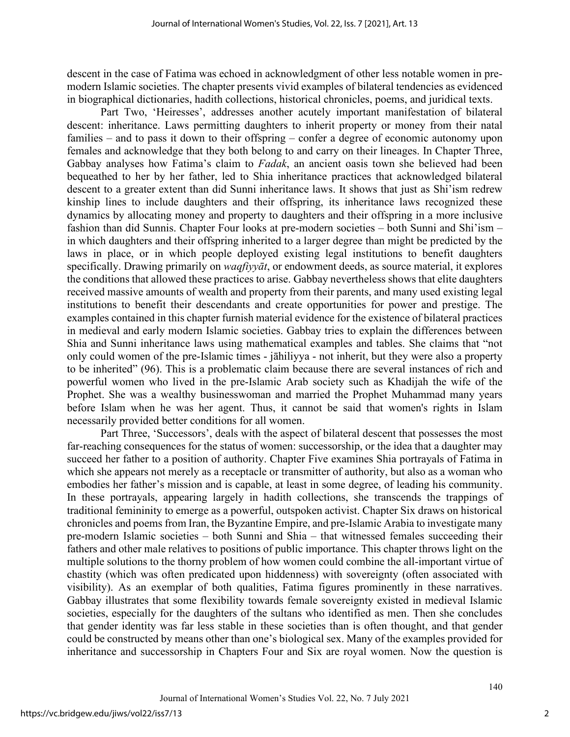descent in the case of Fatima was echoed in acknowledgment of other less notable women in premodern Islamic societies. The chapter presents vivid examples of bilateral tendencies as evidenced in biographical dictionaries, hadith collections, historical chronicles, poems, and juridical texts.

Part Two, 'Heiresses', addresses another acutely important manifestation of bilateral descent: inheritance. Laws permitting daughters to inherit property or money from their natal families – and to pass it down to their offspring – confer a degree of economic autonomy upon females and acknowledge that they both belong to and carry on their lineages. In Chapter Three, Gabbay analyses how Fatima's claim to *Fadak*, an ancient oasis town she believed had been bequeathed to her by her father, led to Shia inheritance practices that acknowledged bilateral descent to a greater extent than did Sunni inheritance laws. It shows that just as Shi'ism redrew kinship lines to include daughters and their offspring, its inheritance laws recognized these dynamics by allocating money and property to daughters and their offspring in a more inclusive fashion than did Sunnis. Chapter Four looks at pre-modern societies – both Sunni and Shi'ism – in which daughters and their offspring inherited to a larger degree than might be predicted by the laws in place, or in which people deployed existing legal institutions to benefit daughters specifically. Drawing primarily on *waqfiyyāt*, or endowment deeds, as source material, it explores the conditions that allowed these practices to arise. Gabbay nevertheless shows that elite daughters received massive amounts of wealth and property from their parents, and many used existing legal institutions to benefit their descendants and create opportunities for power and prestige. The examples contained in this chapter furnish material evidence for the existence of bilateral practices in medieval and early modern Islamic societies. Gabbay tries to explain the differences between Shia and Sunni inheritance laws using mathematical examples and tables. She claims that "not only could women of the pre-Islamic times - jāhiliyya - not inherit, but they were also a property to be inherited" (96). This is a problematic claim because there are several instances of rich and powerful women who lived in the pre-Islamic Arab society such as Khadijah the wife of the Prophet. She was a wealthy businesswoman and married the Prophet Muhammad many years before Islam when he was her agent. Thus, it cannot be said that women's rights in Islam necessarily provided better conditions for all women.

Part Three, 'Successors', deals with the aspect of bilateral descent that possesses the most far-reaching consequences for the status of women: successorship, or the idea that a daughter may succeed her father to a position of authority. Chapter Five examines Shia portrayals of Fatima in which she appears not merely as a receptacle or transmitter of authority, but also as a woman who embodies her father's mission and is capable, at least in some degree, of leading his community. In these portrayals, appearing largely in hadith collections, she transcends the trappings of traditional femininity to emerge as a powerful, outspoken activist. Chapter Six draws on historical chronicles and poems from Iran, the Byzantine Empire, and pre-Islamic Arabia to investigate many pre-modern Islamic societies – both Sunni and Shia – that witnessed females succeeding their fathers and other male relatives to positions of public importance. This chapter throws light on the multiple solutions to the thorny problem of how women could combine the all-important virtue of chastity (which was often predicated upon hiddenness) with sovereignty (often associated with visibility). As an exemplar of both qualities, Fatima figures prominently in these narratives. Gabbay illustrates that some flexibility towards female sovereignty existed in medieval Islamic societies, especially for the daughters of the sultans who identified as men. Then she concludes that gender identity was far less stable in these societies than is often thought, and that gender could be constructed by means other than one's biological sex. Many of the examples provided for inheritance and successorship in Chapters Four and Six are royal women. Now the question is